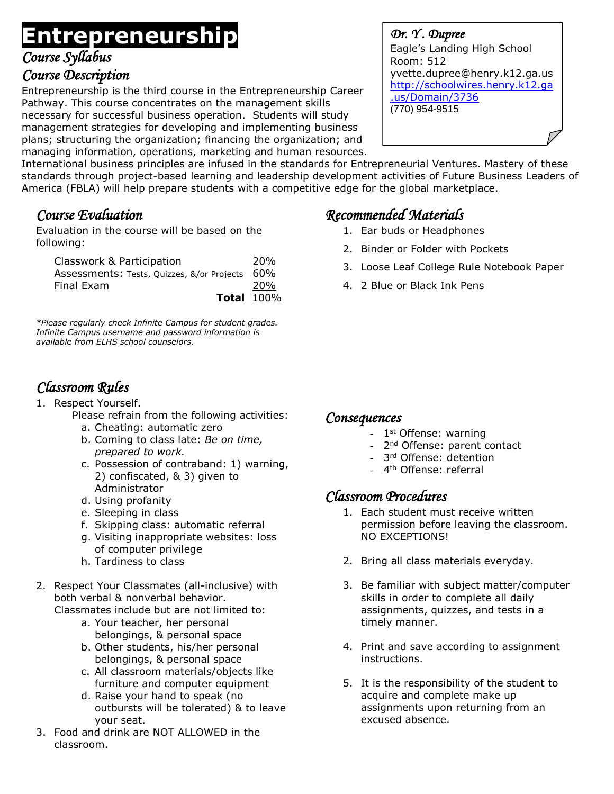# **Entrepreneurship**

*Course Syllabus*

### *Course Description*

Entrepreneurship is the third course in the Entrepreneurship Career Pathway. This course concentrates on the management skills necessary for successful business operation. Students will study management strategies for developing and implementing business plans; structuring the organization; financing the organization; and managing information, operations, marketing and human resources. *Dr. Y . Dupree*  Eagle's Landing High School Room: 512 yvette.dupree@henry.k12.ga.us [http://schoolwires.henry.k12.ga](http://schoolwires.henry.k12.ga.us/Domain/3736) [.us/Domain/3736](http://schoolwires.henry.k12.ga.us/Domain/3736) (770) 954-9515

International business principles are infused in the standards for Entrepreneurial Ventures. Mastery of these standards through project-based learning and leadership development activities of Future Business Leaders of America (FBLA) will help prepare students with a competitive edge for the global marketplace.

## *Course Evaluation*

Evaluation in the course will be based on the following:

| Classwork & Participation                      | 20 <sub>%</sub> |
|------------------------------------------------|-----------------|
| Assessments: Tests, Quizzes, &/or Projects 60% |                 |
| Final Exam                                     | <b>20%</b>      |
| <b>Total 100%</b>                              |                 |

*\*Please regularly check Infinite Campus for student grades. Infinite Campus username and password information is available from ELHS school counselors.*

# *Classroom Rules*

- 1. Respect Yourself.
	- Please refrain from the following activities:
		- a. Cheating: automatic zero
		- b. Coming to class late: *Be on time, prepared to work.*
		- c. Possession of contraband: 1) warning, 2) confiscated, & 3) given to Administrator
		- d. Using profanity
		- e. Sleeping in class
		- f. Skipping class: automatic referral
		- g. Visiting inappropriate websites: loss of computer privilege
		- h. Tardiness to class
- 2. Respect Your Classmates (all-inclusive) with both verbal & nonverbal behavior.
	- Classmates include but are not limited to:
		- a. Your teacher, her personal belongings, & personal space
		- b. Other students, his/her personal belongings, & personal space
		- c. All classroom materials/objects like furniture and computer equipment
		- d. Raise your hand to speak (no outbursts will be tolerated) & to leave your seat.
- 3. Food and drink are NOT ALLOWED in the classroom.

# *Recommended Materials*

- 1. Ear buds or Headphones
- 2. Binder or Folder with Pockets
- 3. Loose Leaf College Rule Notebook Paper
- 4. 2 Blue or Black Ink Pens

### *Consequences*

- 1<sup>st</sup> Offense: warning
- 2<sup>nd</sup> Offense: parent contact
- 3<sup>rd</sup> Offense: detention
- 4<sup>th</sup> Offense: referral

## *Classroom Procedures*

- 1. Each student must receive written permission before leaving the classroom. NO EXCEPTIONS!
- 2. Bring all class materials everyday.
- 3. Be familiar with subject matter/computer skills in order to complete all daily assignments, quizzes, and tests in a timely manner.
- 4. Print and save according to assignment instructions.
- 5. It is the responsibility of the student to acquire and complete make up assignments upon returning from an excused absence.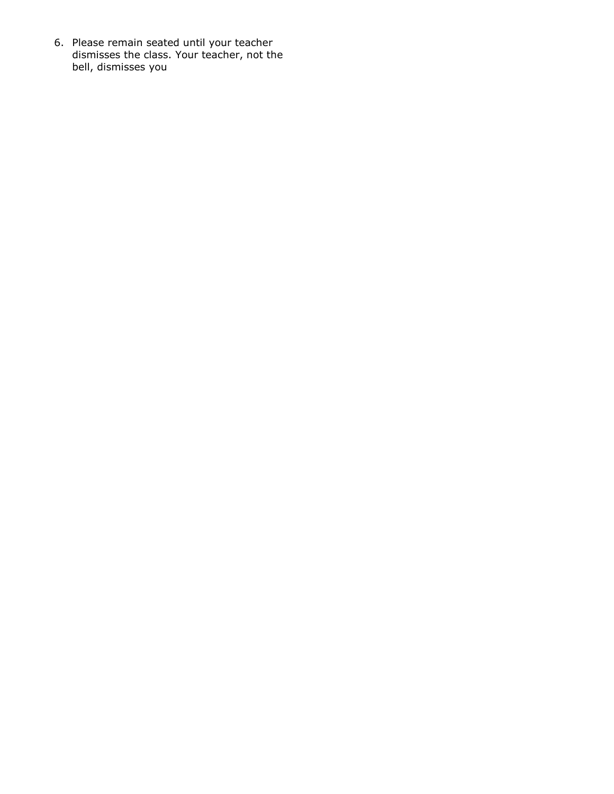6. Please remain seated until your teacher dismisses the class. Your teacher, not the bell, dismisses you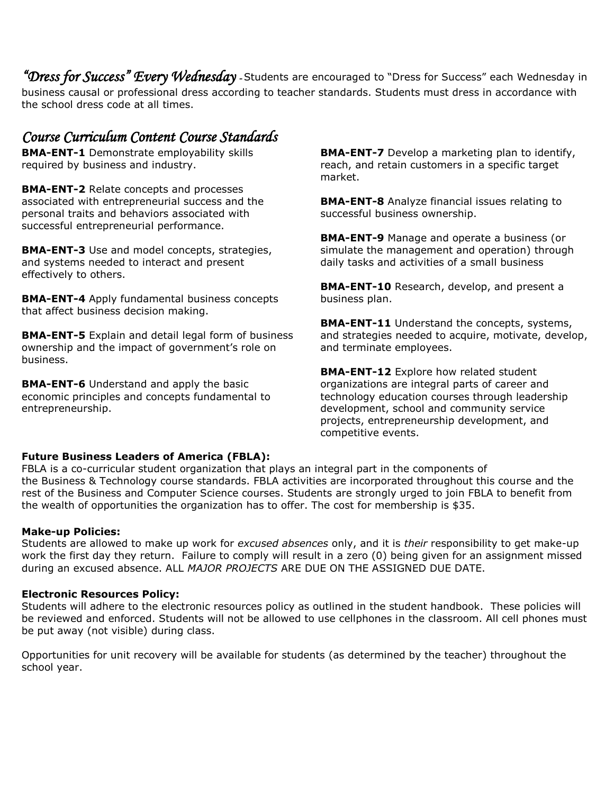*"Dress for Success" Every Wednesday -* Students are encouraged to "Dress for Success" each Wednesday in business causal or professional dress according to teacher standards. Students must dress in accordance with the school dress code at all times.

### *Course Curriculum Content Course Standards*

**BMA-ENT-1** Demonstrate employability skills required by business and industry.

**BMA-ENT-2** Relate concepts and processes associated with entrepreneurial success and the personal traits and behaviors associated with successful entrepreneurial performance.

**BMA-ENT-3** Use and model concepts, strategies, and systems needed to interact and present effectively to others.

**BMA-ENT-4** Apply fundamental business concepts that affect business decision making.

**BMA-ENT-5** Explain and detail legal form of business ownership and the impact of government's role on business.

**BMA-ENT-6** Understand and apply the basic economic principles and concepts fundamental to entrepreneurship.

**BMA-ENT-7** Develop a marketing plan to identify, reach, and retain customers in a specific target market.

**BMA-ENT-8** Analyze financial issues relating to successful business ownership.

**BMA-ENT-9** Manage and operate a business (or simulate the management and operation) through daily tasks and activities of a small business

**BMA-ENT-10** Research, develop, and present a business plan.

**BMA-ENT-11** Understand the concepts, systems, and strategies needed to acquire, motivate, develop, and terminate employees.

**BMA-ENT-12** Explore how related student organizations are integral parts of career and technology education courses through leadership development, school and community service projects, entrepreneurship development, and competitive events.

#### **Future Business Leaders of America (FBLA):**

FBLA is a co-curricular student organization that plays an integral part in the components of the Business & Technology course standards. FBLA activities are incorporated throughout this course and the rest of the Business and Computer Science courses. Students are strongly urged to join FBLA to benefit from the wealth of opportunities the organization has to offer. The cost for membership is \$35.

#### **Make-up Policies:**

Students are allowed to make up work for *excused absences* only, and it is *their* responsibility to get make-up work the first day they return. Failure to comply will result in a zero (0) being given for an assignment missed during an excused absence. ALL *MAJOR PROJECTS* ARE DUE ON THE ASSIGNED DUE DATE.

#### **Electronic Resources Policy:**

Students will adhere to the electronic resources policy as outlined in the student handbook. These policies will be reviewed and enforced. Students will not be allowed to use cellphones in the classroom. All cell phones must be put away (not visible) during class.

Opportunities for unit recovery will be available for students (as determined by the teacher) throughout the school year.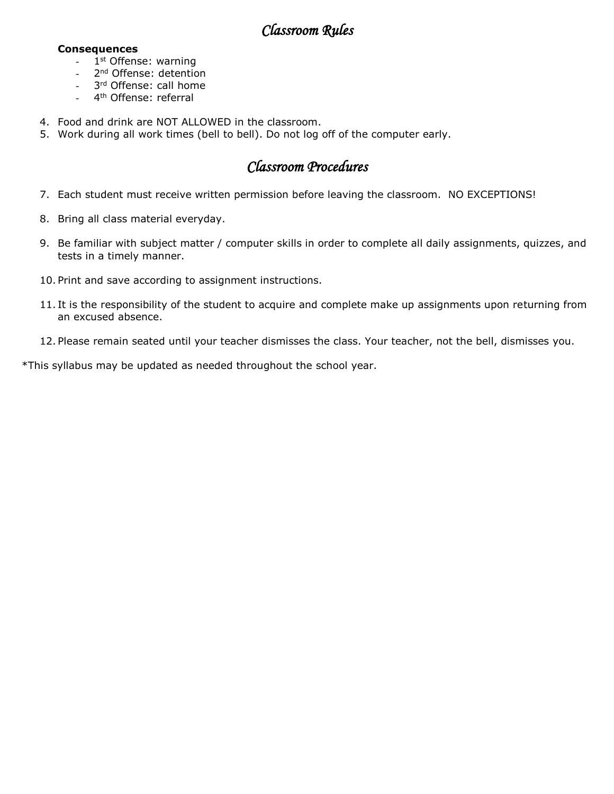### *Classroom Rules*

#### **Consequences**

- 1<sup>st</sup> Offense: warning
- 2<sup>nd</sup> Offense: detention
- 3<sup>rd</sup> Offense: call home
- 4<sup>th</sup> Offense: referral
- 4. Food and drink are NOT ALLOWED in the classroom.
- 5. Work during all work times (bell to bell). Do not log off of the computer early.

### *Classroom Procedures*

- 7. Each student must receive written permission before leaving the classroom. NO EXCEPTIONS!
- 8. Bring all class material everyday.
- 9. Be familiar with subject matter / computer skills in order to complete all daily assignments, quizzes, and tests in a timely manner.
- 10. Print and save according to assignment instructions.
- 11. It is the responsibility of the student to acquire and complete make up assignments upon returning from an excused absence.
- 12. Please remain seated until your teacher dismisses the class. Your teacher, not the bell, dismisses you.

\*This syllabus may be updated as needed throughout the school year.